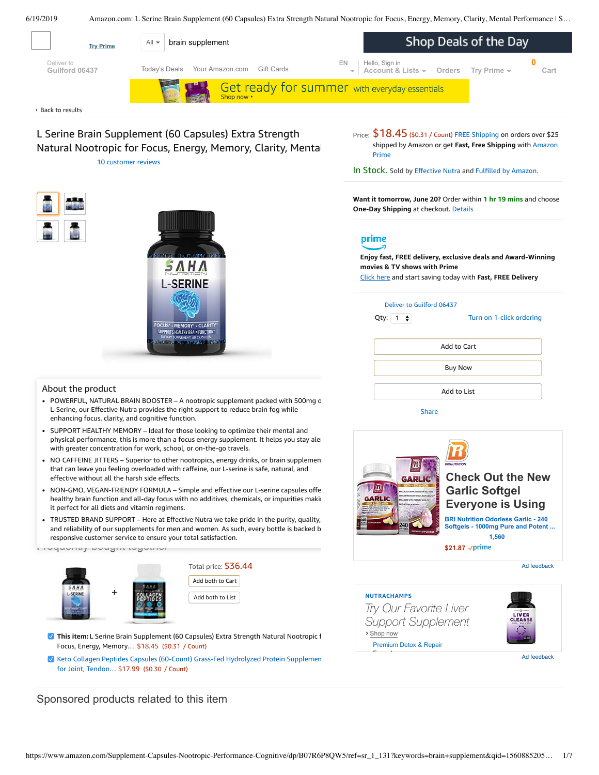6/19/2019 Amazon.com: L Serine Brain Supplement (60 Capsules) Extra Strength Natural Nootropic for Focus, Energy, Memory, Clarity, Mental Performance | S…

<span id="page-0-0"></span>

L Serine Brain Supplement (60 Capsules) Extra Strength Natural Nootropic for Focus, Energy, Memory, Clarity, Mental 10 [customer](#page-3-0) reviews





### Price:  $$18.45$  (\$0.31 / Count) FREE [Shipping](javascript:void(0)) on orders over \$25 shipped by Amazon or get **Fast, Free [Shipping](https://www.amazon.com/gp/prime/pipeline/signup.html?ref=primedp_ventures_desktopBelowThreshold&primeCampaignId=primedp_ventures_desktopBelowThreshold)** with Amazon Prime

In Stock. Sold by [Effective](https://www.amazon.com/gp/help/seller/at-a-glance.html/ref=dp_merchant_link?ie=UTF8&seller=A2XJ64PYOMO82P&isAmazonFulfilled=1) Nutra and Fulfilled by [Amazon.](https://www.amazon.com/gp/help/customer/display.html?ie=UTF8&ref=dp_fulfillment&nodeId=106096011)

**Want it tomorrow, June 20?** Order within **1 hr 19 mins** and choose **One-Day Shipping** at checkout. [Details](https://www.amazon.com/gp/help/customer/display.html/ref=ftinfo_dp_?ie=UTF8&nodeId=3510241&pop-up=1)

# prime

**Enjoy fast, FREE delivery, exclusive deals and Award-Winning movies & TV shows with Prime** Click here and start saving today with **Fast, FREE Delivery**

| Deliver to Guilford 06437<br>Qty: $\begin{vmatrix} 1 & \frac{1}{2} \end{vmatrix}$ | Turn on 1-click ordering |  |  |  |  |
|-----------------------------------------------------------------------------------|--------------------------|--|--|--|--|
| Add to Cart                                                                       |                          |  |  |  |  |
| <b>Buy Now</b>                                                                    |                          |  |  |  |  |
| Add to List                                                                       |                          |  |  |  |  |

[Share](mailto:?body=I%20want%20to%20recommend%20this%20product%20at%20Amazon.com%0A%0AL%20Serine%20Brain%20Supplement%20(60%20Capsules)%20Extra%20Strength%20Natural%20Nootropic%20for%20Focus%2C%20Energy%2C%20Memory%2C%20Clarity%2C%20Mental%20Performance%20%7C%20Supports%20Cognitive%20Function%20%7C%20Men%2C%20Women%0Aby%20Effective%20Nutra%0ALearn%20more%3A%20https%3A%2F%2Fwww.amazon.com%2Fdp%2FB07R6P8QW5%2Fref%3Dcm_sw_em_r_mt_dp_U_7ANcDb584BCAN&subject=I%20want%20to%20recommend%20this%20product%20on%20Amazon)





#### About the product

- POWERFUL, NATURAL BRAIN BOOSTER A nootropic supplement packed with 500mg o L-Serine, our Effective Nutra provides the right support to reduce brain fog while enhancing focus, clarity, and cognitive function.
- SUPPORT HEALTHY MEMORY Ideal for those looking to optimize their mental and physical performance, this is more than a focus energy supplement. It helps you stay aler with greater concentration for work, school, or on-the-go travels.
- NO CAFFEINE JITTERS Superior to other nootropics, energy drinks, or brain supplemen that can leave you feeling overloaded with caffeine, our L-serine is safe, natural, and effective without all the harsh side effects.
- NON-GMO, [VEGAN-FRIENDY](https://www.amazon.com/gp/redirect.html/ref=amb_link_1?_encoding=UTF8&location=https%3A%2F%2Fwww.amazon.com%2Fb%3Fnode%3D17904040011&source=standards&token=BE1FBDC111DBAC62750B07A4AFAFEF6D1A082253&pf_rd_m=ATVPDKIKX0DER&pf_rd_s=product-alert&pf_rd_r=5G894RBCCHADNCBMHVHX&pf_rd_r=5G894RBCCHADNCBMHVHX&pf_rd_t=201&pf_rd_p=82fa76b4-9a2f-4417-8a70-702f37d37a30&pf_rd_p=82fa76b4-9a2f-4417-8a70-702f37d37a30&pf_rd_i=B07R6P8QW5) FORMULA Simple and effective our L-serine capsules offe healthy brain function and all-day focus with no additives, chemicals, or impurities making it perfect for all diets and vitamin regimens.
- TRUSTED BRAND SUPPORT Here at Effective Nutra we take pride in the purity, quality, and reliability of our supplements for men and women. As such, every bottle is backed b responsive customer service to ensure your total satisfaction.

Frequently bought together



- **This item:** L Serine Brain Supplement (60 Capsules) Extra Strength Natural Nootropic for Focus, Energy, Memory… \$18.45 (\$0.31 / Count)
- Keto Collagen Peptides Capsules (60-Count) Grass-Fed Hydrolyzed Protein [Supplement](https://www.amazon.com/Collagen-Peptides-Grass-Fed-Hydrolyzed-Supplement/dp/B07R5Q77ZF/ref=pd_bxgy_121_2/143-6729050-3493109?_encoding=UTF8&pd_rd_i=B07R5Q77ZF&pd_rd_r=399ed1b9-92bb-11e9-8a23-ddeb768f3e06&pd_rd_w=XEOew&pd_rd_wg=sreUX&pf_rd_p=a2006322-0bc0-4db9-a08e-d168c18ce6f0&pf_rd_r=5G894RBCCHADNCBMHVHX&psc=1&refRID=5G894RBCCHADNCBMHVHX) for Joint, Tendon… \$17.99 (\$0.30 / Count)

Sponsored products related to this item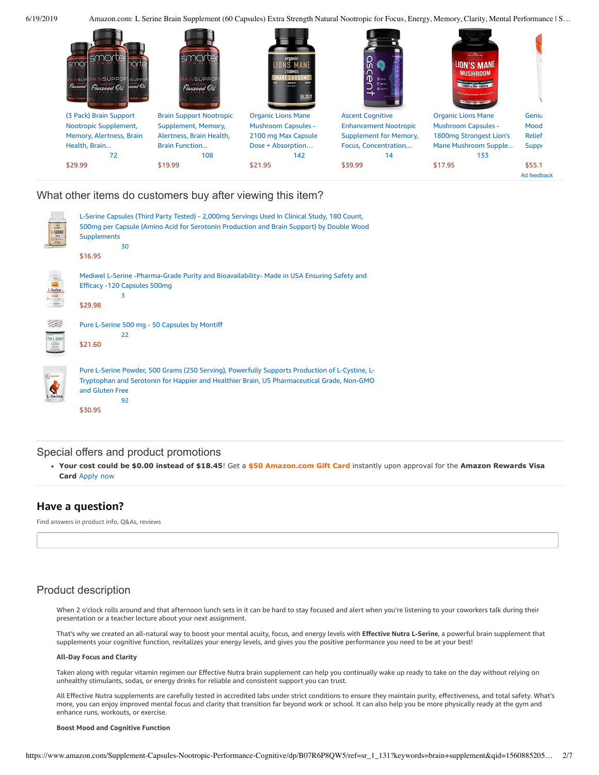e

6/19/2019 Amazon.com: L Serine Brain Supplement (60 Capsules) Extra Strength Natural Nootropic for Focus, Energy, Memory, Clarity, Mental Performance | S…



## What other items do customers buy after viewing this item?

| 巡<br>L-SERIN | L-Serine Capsules (Third Party Tested) - 2,000mg Servings Used In Clinical Study, 180 Count,<br>500mg per Capsule (Amino Acid for Serotonin Production and Brain Support) by Double Wood<br><b>Supplements</b><br>30<br>\$16.95  |
|--------------|----------------------------------------------------------------------------------------------------------------------------------------------------------------------------------------------------------------------------------|
|              | Mediwel L-Serine -Pharma-Grade Purity and Bioavailability- Made in USA Ensuring Safety and<br>Efficacy -120 Capsules 500mg<br>3<br>\$29.98                                                                                       |
|              | Pure L-Serine 500 mg - 50 Capsules by Montiff<br>22<br>\$21.60                                                                                                                                                                   |
|              | Pure L-Serine Powder, 500 Grams (250 Serving), Powerfully Supports Production of L-Cystine, L-<br>Tryptophan and Serotonin for Happier and Healthier Brain, US Pharmaceutical Grade, Non-GMO<br>and Gluten Free<br>92<br>\$30.95 |

## Special offers and product promotions

**[Your cost could be \\$0.00 instead of \\$18.45](https://www.amazon.com/gp/cobrandcard/marketing.html?pr=con321&inc=50gcUnrec&ts=c50hb28we9yor8fb0u80pjc17cjkt4b&dasin=B07R6P8QW5&plattr=math&place=detailpage&imp=575186d3-e141-475c-af0f-c7efa57a243f)**! Get a **\$50 Amazon.com Gift Card** instantly upon approval for the **Amazon Rewards Visa Card** Apply now

## **Have a question?**

Find answers in product info, Q&As, reviews

## Product description

When 2 o'clock rolls around and that afternoon lunch sets in it can be hard to stay focused and alert when you're listening to your coworkers talk during their presentation or a teacher lecture about your next assignment.

That's why we created an all-natural way to boost your mental acuity, focus, and energy levels with **Effective Nutra L-Serine**, a powerful brain supplement that supplements your cognitive function, revitalizes your energy levels, and gives you the positive performance you need to be at your best!

#### **All-Day Focus and Clarity**

Taken along with regular vitamin regimen our Effective Nutra brain supplement can help you continually wake up ready to take on the day without relying on unhealthy stimulants, sodas, or energy drinks for reliable and consistent support you can trust.

All Effective Nutra supplements are carefully tested in accredited labs under strict conditions to ensure they maintain purity, effectiveness, and total safety. What's more, you can enjoy improved mental focus and clarity that transition far beyond work or school. It can also help you be more physically ready at the gym and enhance runs, workouts, or exercise.

#### **Boost Mood and Cognitive Function**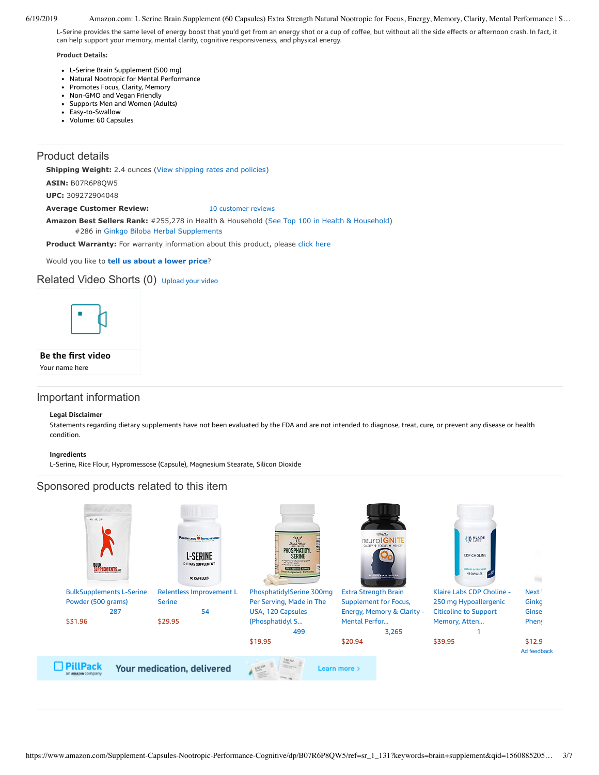#### 6/19/2019 Amazon.com: L Serine Brain Supplement (60 Capsules) Extra Strength Natural Nootropic for Focus, Energy, Memory, Clarity, Mental Performance | S…

L-Serine provides the same level of energy boost that you'd get from an energy shot or a cup of coffee, but without all the side effects or afternoon crash. In fact, it can help support your memory, mental clarity, cognitive responsiveness, and physical energy.

#### **Product Details:**

- L-Serine Brain Supplement (500 mg)
- Natural Nootropic for Mental Performance
- $\bullet$ Promotes Focus, Clarity, Memory  $\bullet$ Non-GMO and Vegan Friendly
- Supports Men and Women (Adults)  $\bullet$
- Easy-to-Swallow
- Volume: 60 Capsules

## Product details

**Shipping Weight:** 2.4 ounces [\(View shipping rates and policies\)](https://www.amazon.com/gp/help/seller/shipping.html/ref=dp_pd_shipping?ie=UTF8&asin=B07R6P8QW5&seller=ATVPDKIKX0DER)

**ASIN:** B07R6P8QW5

**UPC:** 309272904048

Average Customer Review: [10 customer reviews](https://www.amazon.com/product-reviews/B07R6P8QW5/ref=acr_dpproductdetail_text?ie=UTF8&showViewpoints=1)

**Amazon Best Sellers Rank:** #255,278 in Health & Household [\(See Top 100 in Health & Household](https://www.amazon.com/gp/bestsellers/hpc/ref=pd_zg_ts_hpc)) #286 in [Ginkgo Biloba Herbal Supplements](https://www.amazon.com/gp/bestsellers/hpc/3765701/ref=pd_zg_hrsr_hpc)

Product Warranty: For warranty information about this product, please [click here](https://www.amazon.com/gp/feature.html/ref=dp_warranty_request_3P?ie=UTF8&docId=1002406021)

Would you like to **tell us about a lower price**?

## Related Video Shorts (0) [Upload](https://www.amazon.com/creatorhub/video/upload?productASIN=B07R6P8QW5&referringURL=ZHAvQjA3UjZQOFFXNQ%3D%3D&ref=RVSW) your video



#### **Be the first video**

Your name here

## Important information

#### **Legal Disclaimer**

Statements regarding dietary supplements have not been evaluated by the FDA and are not intended to diagnose, treat, cure, or prevent any disease or health condition.

#### **Ingredients**

L-Serine, Rice Flour, Hypromessose (Capsule), Magnesium Stearate, Silicon Dioxide

## Sponsored products related to this item

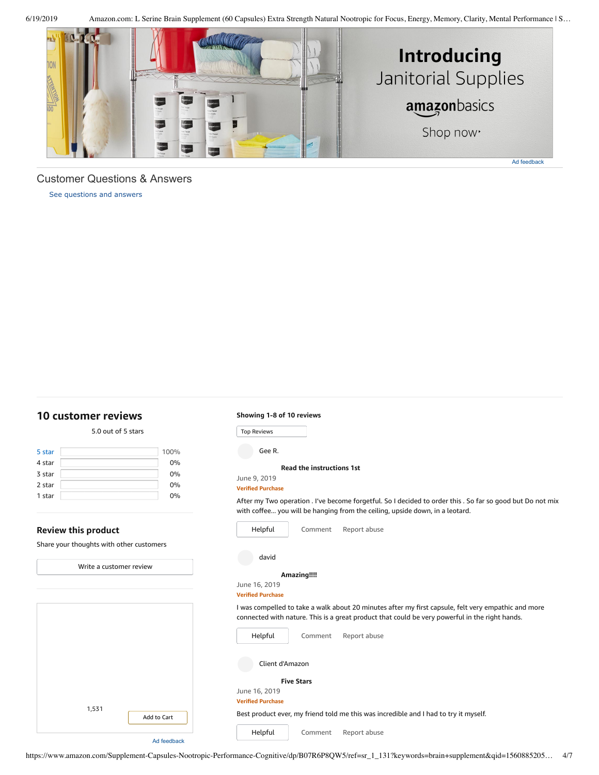6/19/2019 Amazon.com: L Serine Brain Supplement (60 Capsules) Extra Strength Natural Nootropic for Focus, Energy, Memory, Clarity, Mental Performance | S…



## Customer Questions & Answers

[See questions and answers](https://www.amazon.com/ask/questions/asin/B07R6P8QW5/ref=cm_cd_dp_lla_ql_ll)

## <span id="page-3-0"></span>**[10 customer](https://www.amazon.com/Supplement-Capsules-Nootropic-Performance-Cognitive/product-reviews/B07R6P8QW5/ref=cm_cr_dp_d_show_all_top?ie=UTF8&reviewerType=all_reviews) reviews**

#### Top Reviews Top Reviews**Review this product** Share your thoughts with other customers [1,531](https://www.amazon.com/dp/B004U3Y9FU?ref=dacx_dp_3507780210401_4568274160101&me=ATVPDKIKX0DER&aaxitk=mWQLLD.bSVOFxBDSVvqleg) Add to [Cart](https://www.amazon.com/gp/product-ads/shared/utility/add-to-cart.html?ie=UTF8&token=A1D580F29C6340AEC2C3A69DF43F9ED516A49280&time=1560966666643&merchantId=ATVPDKIKX0DER&asin=B004U3Y9FU&program=dads&adPrice=12.99&aaxitk=mWQLLD.bSVOFxBDSVvqleg) 5.0 out of 5 [stars](javascript:void(0)) 5 [star](https://www.amazon.com/Supplement-Capsules-Nootropic-Performance-Cognitive/product-reviews/B07R6P8QW5/ref=cm_cr_dp_d_hist_5?ie=UTF8&filterByStar=five_star&reviewerType=all_reviews#reviews-filter-bar) [100%](https://www.amazon.com/Supplement-Capsules-Nootropic-Performance-Cognitive/product-reviews/B07R6P8QW5/ref=cm_cr_dp_d_hist_5?ie=UTF8&filterByStar=five_star&reviewerType=all_reviews#reviews-filter-bar) 4 star 0% 3 star 0% 2 star 0% 1 star 0% Write a [customer](https://www.amazon.com/review/create-review/ref=cm_cr_dp_d_wr_but_top?ie=UTF8&channel=glance-detail&asin=B07R6P8QW5) review Ad feedback **Read the [instructions](https://www.amazon.com/gp/customer-reviews/R3AM0GAAEK9XMI/ref=cm_cr_dp_d_rvw_ttl?ie=UTF8&ASIN=B07R6P8QW5) 1st** June 9, 2019 **Verified Purchase** [Comment](https://www.amazon.com/gp/customer-reviews/R3AM0GAAEK9XMI/ref=cm_cr_dp_d_rvw_btm?ie=UTF8&ASIN=B07R6P8QW5#wasThisHelpful) [Report](https://www.amazon.com/hz/reviews-render/report-abuse?ie=UTF8&voteDomain=Reviews&ref=cm_cr_dp_d_rvw_hlp&csrfT=glePuKmCRkhaBppiN9zYaXlByVQSUVmzy469FP0AAAABAAAAAF0KdrtyYXcAAAAA%2B4kUEk%2F7iMGR3xPcX6iU&entityId=R3AM0GAAEK9XMI&sessionId=143-6729050-3493109) abuse Gee R. After my Two operation . I've become forgetful. So I decided to order this . So far so good but Do not mix with coffee... you will be hanging from the ceiling, upside down, in a leotard. [Helpful](https://www.amazon.com/ap/signin?openid.return_to=https%3A%2F%2Fwww.amazon.com%2Fdp%2FB07R6P8QW5%2Fref%3Dcm_cr_dp_d_vote_lft%3Fie%3DUTF8%26voteInstanceId%3DR3AM0GAAEK9XMI%26voteValue%3D1%26csrfT%3DglePuKmCRkhaBppiN9zYaXlByVQSUVmzy469FP0AAAABAAAAAF0KdrtyYXcAAAAA%252B4kUEk%252F7iMGR3xPcX6iU%23R3AM0GAAEK9XMI&openid.identity=http%3A%2F%2Fspecs.openid.net%2Fauth%2F2.0%2Fidentifier_select&openid.claimed_id=http%3A%2F%2Fspecs.openid.net%2Fauth%2F2.0%2Fidentifier_select&openid.assoc_handle=usflex&openid.mode=checkid_setup&openid.ns=http%3A%2F%2Fspecs.openid.net%2Fauth%2F2.0) **[Amazing!!!!](https://www.amazon.com/gp/customer-reviews/R27ZPWYP2ZPWPS/ref=cm_cr_dp_d_rvw_ttl?ie=UTF8&ASIN=B07R6P8QW5)** June 16, 2019 **Verified Purchase** [Comment](https://www.amazon.com/gp/customer-reviews/R27ZPWYP2ZPWPS/ref=cm_cr_dp_d_rvw_btm?ie=UTF8&ASIN=B07R6P8QW5#wasThisHelpful) [Report](https://www.amazon.com/hz/reviews-render/report-abuse?ie=UTF8&voteDomain=Reviews&ref=cm_cr_dp_d_rvw_hlp&csrfT=gkTuMALPzEVGDXqzDXMrElZ64uyGAKra%2BuCvnu0AAAABAAAAAF0KdrtyYXcAAAAA%2B4kUEk%2F7iMGR3xPcX6iU&entityId=R27ZPWYP2ZPWPS&sessionId=143-6729050-3493109) abuse david I was compelled to take a walk about 20 minutes after my first capsule, felt very empathic and more connected with nature. This is a great product that could be very powerful in the right hands. [Helpful](https://www.amazon.com/ap/signin?openid.return_to=https%3A%2F%2Fwww.amazon.com%2Fdp%2FB07R6P8QW5%2Fref%3Dcm_cr_dp_d_vote_lft%3Fie%3DUTF8%26voteInstanceId%3DR27ZPWYP2ZPWPS%26voteValue%3D1%26csrfT%3DgkTuMALPzEVGDXqzDXMrElZ64uyGAKra%252BuCvnu0AAAABAAAAAF0KdrtyYXcAAAAA%252B4kUEk%252F7iMGR3xPcX6iU%23R27ZPWYP2ZPWPS&openid.identity=http%3A%2F%2Fspecs.openid.net%2Fauth%2F2.0%2Fidentifier_select&openid.claimed_id=http%3A%2F%2Fspecs.openid.net%2Fauth%2F2.0%2Fidentifier_select&openid.assoc_handle=usflex&openid.mode=checkid_setup&openid.ns=http%3A%2F%2Fspecs.openid.net%2Fauth%2F2.0) **Five [Stars](https://www.amazon.com/gp/customer-reviews/R3GPGXBFKA52AN/ref=cm_cr_dp_d_rvw_ttl?ie=UTF8&ASIN=B07R6P8QW5)** June 16, 2019 **Verified Purchase** [Comment](https://www.amazon.com/gp/customer-reviews/R3GPGXBFKA52AN/ref=cm_cr_dp_d_rvw_btm?ie=UTF8&ASIN=B07R6P8QW5#wasThisHelpful) [Report](https://www.amazon.com/hz/reviews-render/report-abuse?ie=UTF8&voteDomain=Reviews&ref=cm_cr_dp_d_rvw_hlp&csrfT=gmjNKcJMujxtf5FBkJHBRmizAFY6xTyGrpai29YAAAABAAAAAF0KdrtyYXcAAAAA%2B4kUEk%2F7iMGR3xPcX6iU&entityId=R3GPGXBFKA52AN&sessionId=143-6729050-3493109) abuse Client d'Amazon Best product ever, my friend told me this was incredible and I had to try it myself. [Helpful](https://www.amazon.com/ap/signin?openid.return_to=https%3A%2F%2Fwww.amazon.com%2Fdp%2FB07R6P8QW5%2Fref%3Dcm_cr_dp_d_vote_lft%3Fie%3DUTF8%26voteInstanceId%3DR3GPGXBFKA52AN%26voteValue%3D1%26csrfT%3DgmjNKcJMujxtf5FBkJHBRmizAFY6xTyGrpai29YAAAABAAAAAF0KdrtyYXcAAAAA%252B4kUEk%252F7iMGR3xPcX6iU%23R3GPGXBFKA52AN&openid.identity=http%3A%2F%2Fspecs.openid.net%2Fauth%2F2.0%2Fidentifier_select&openid.claimed_id=http%3A%2F%2Fspecs.openid.net%2Fauth%2F2.0%2Fidentifier_select&openid.assoc_handle=usflex&openid.mode=checkid_setup&openid.ns=http%3A%2F%2Fspecs.openid.net%2Fauth%2F2.0)

**Showing 1-8 of 10 reviews**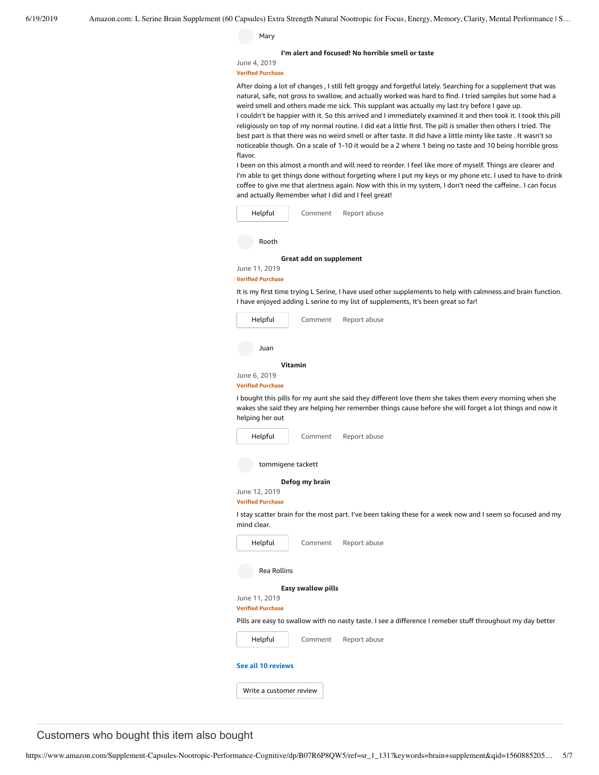Mary

**I'm alert and focused! [No horrible](https://www.amazon.com/gp/customer-reviews/R2C3OZH2V7T3YC/ref=cm_cr_dp_d_rvw_ttl?ie=UTF8&ASIN=B07R6P8QW5) smell or taste**

June 4, 2019 **Verified Purchase**

After doing a lot of changes , I still felt groggy and forgetful lately. Searching for a supplement that was natural, safe, not gross to swallow, and actually worked was hard to find. I tried samples but some had a weird smell and others made me sick. This supplant was actually my last try before I gave up. I couldn't be happier with it. So this arrived and I immediately examined it and then took it. I took this pill religiously on top of my normal routine. I did eat a little first. The pill is smaller then others I tried. The best part is that there was no weird smell or after taste. It did have a little minty like taste . It wasn't so noticeable though. On a scale of 1-10 it would be a 2 where 1 being no taste and 10 being horrible gross flavor.

I been on this almost a month and will need to reorder. I feel like more of myself. Things are clearer and I'm able to get things done without forgeting where I put my keys or my phone etc. I used to have to drink coffee to give me that alertness again. Now with this in my system, I don't need the caffeine.. I can focus and actually Remember what I did and I feel great!

| Helpful | Comment | Report abuse |
|---------|---------|--------------|
|         |         |              |

Rooth

**Great add on [supplement](https://www.amazon.com/gp/customer-reviews/R3173CDIWUI3MR/ref=cm_cr_dp_d_rvw_ttl?ie=UTF8&ASIN=B07R6P8QW5)**

June 11, 2019 **Verified Purchase**

It is my first time trying L Serine, I have used other supplements to help with calmness and brain function. I have enjoyed adding L serine to my list of supplements, It's been great so far!

| Helpful                  | Comment | Report abuse                                                                                                                                                                                                        |
|--------------------------|---------|---------------------------------------------------------------------------------------------------------------------------------------------------------------------------------------------------------------------|
| Juan                     |         |                                                                                                                                                                                                                     |
|                          | Vitamin |                                                                                                                                                                                                                     |
| June 6, 2019             |         |                                                                                                                                                                                                                     |
| <b>Verified Purchase</b> |         |                                                                                                                                                                                                                     |
| helping her out          |         | I bought this pills for my aunt she said they different love them she takes them every morning when she<br>wakes she said they are helping her remember things cause before she will forget a lot things and now it |
| Helpful                  | Comment | Report abuse                                                                                                                                                                                                        |

[Comment](https://www.amazon.com/gp/customer-reviews/R27F99X3NIAIN9/ref=cm_cr_dp_d_rvw_btm?ie=UTF8&ASIN=B07R6P8QW5#wasThisHelpful) [Report](https://www.amazon.com/hz/reviews-render/report-abuse?ie=UTF8&voteDomain=Reviews&ref=cm_cr_dp_d_rvw_hlp&csrfT=ghkzLDSzRBmSOfka5i4jxM4w%2F%2F688LqK9ze3sFAAAAABAAAAAF0KdrtyYXcAAAAA%2B4kUEk%2F7iMGR3xPcX6iU&entityId=R27F99X3NIAIN9&sessionId=143-6729050-3493109) abuse

tommigene tackett

**[Defog](https://www.amazon.com/gp/customer-reviews/R2GVJO07J28QQC/ref=cm_cr_dp_d_rvw_ttl?ie=UTF8&ASIN=B07R6P8QW5) my brain**

June 12, 2019 **Verified Purchase**

I stay scatter brain for the most part. I've been taking these for a week now and I seem so focused and my mind clear.

| Helpful                  | Comment            | Report abuse                                                                                               |
|--------------------------|--------------------|------------------------------------------------------------------------------------------------------------|
| <b>Rea Rollins</b>       |                    |                                                                                                            |
|                          | Easy swallow pills |                                                                                                            |
| June 11, 2019            |                    |                                                                                                            |
| <b>Verified Purchase</b> |                    |                                                                                                            |
|                          |                    | Pills are easy to swallow with no nasty taste. I see a difference I remeber stuff throughout my day better |
| Helpful                  | Comment            | Report abuse                                                                                               |
| See all 10 reviews       |                    |                                                                                                            |
|                          |                    |                                                                                                            |

Customers who bought this item also bought

Write a [customer](https://www.amazon.com/review/create-review/ref=cm_cr_dp_d_wr_but_btm?ie=UTF8&channel=glance-detail&asin=B07R6P8QW5) review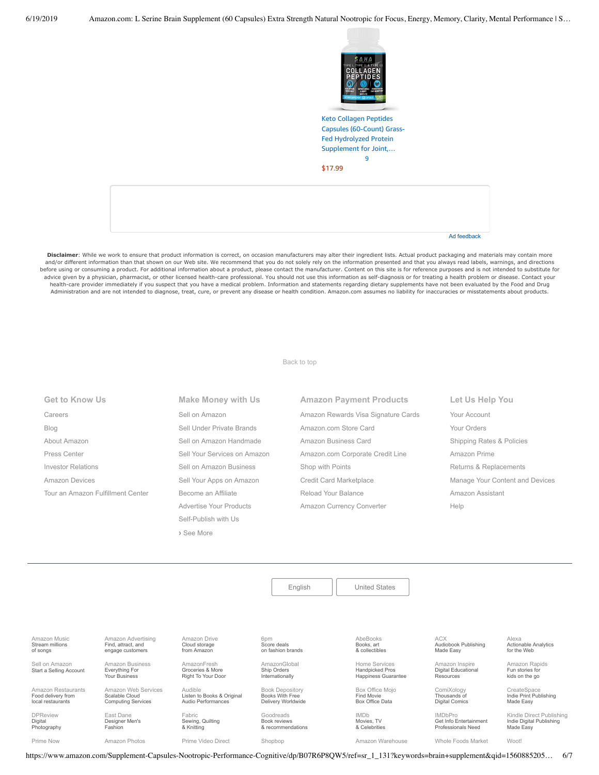

Keto Collagen Peptides Capsules (60-Count) Grass-Fed Hydrolyzed Protein [Supplement](https://www.amazon.com/Collagen-Peptides-Grass-Fed-Hydrolyzed-Supplement/dp/B07R5Q77ZF/ref=pd_sim_121_1/143-6729050-3493109?_encoding=UTF8&pd_rd_i=B07R5Q77ZF&pd_rd_r=399ed1b9-92bb-11e9-8a23-ddeb768f3e06&pd_rd_w=kg11L&pd_rd_wg=sreUX&pf_rd_p=90485860-83e9-4fd9-b838-b28a9b7fda30&pf_rd_r=5G894RBCCHADNCBMHVHX&psc=1&refRID=5G894RBCCHADNCBMHVHX) for Joint,… [9](https://www.amazon.com/product-reviews/B07R5Q77ZF/ref=pd_sim_121_cr_1/143-6729050-3493109?ie=UTF8&pd_rd_i=B07R5Q77ZF&pd_rd_r=399ed1b9-92bb-11e9-8a23-ddeb768f3e06&pd_rd_w=kg11L&pd_rd_wg=sreUX&pf_rd_p=90485860-83e9-4fd9-b838-b28a9b7fda30&pf_rd_r=5G894RBCCHADNCBMHVHX&refRID=5G894RBCCHADNCBMHVHX)

[\\$17.99](https://www.amazon.com/Collagen-Peptides-Grass-Fed-Hydrolyzed-Supplement/dp/B07R5Q77ZF/ref=pd_sim_121_1/143-6729050-3493109?_encoding=UTF8&pd_rd_i=B07R5Q77ZF&pd_rd_r=399ed1b9-92bb-11e9-8a23-ddeb768f3e06&pd_rd_w=kg11L&pd_rd_wg=sreUX&pf_rd_p=90485860-83e9-4fd9-b838-b28a9b7fda30&pf_rd_r=5G894RBCCHADNCBMHVHX&psc=1&refRID=5G894RBCCHADNCBMHVHX)

Ad feedback

Disclaimer: While we work to ensure that product information is correct, on occasion manufacturers may alter their ingredient lists. Actual product packaging and materials may contain more and/or different information than that shown on our Web site. We recommend that you do not solely rely on the information presented and that you always read labels, warnings, and directions before using or consuming a product. For additional information about a product, please contact the manufacturer. Content on this site is for reference purposes and is not intended to substitute for advice given by a physician, pharmacist, or other licensed health-care professional. You should not use this information as self-diagnosis or for treating a health problem or disease. Contact your health-care provider immediately if you suspect that you have a medical problem. Information and statements regarding dietary supplements have not been evaluated by the Food and Drug Administration and are not intended to diagnose, treat, cure, or prevent any disease or health condition. Amazon.com assumes no liability for inaccuracies or misstatements about products.

[Back to top](#page-0-0)

**Get to Know Us** [Careers](https://www.amazon.jobs/) [Blog](https://blog.aboutamazon.com/?utm_source=gateway&utm_medium=footer) [About Amazon](https://www.aboutamazon.com/?utm_source=gateway&utm_medium=footer) [Press Center](https://www.amazon.com/pr) [Investor Relations](https://www.amazon.com/ir) [Amazon Devices](https://www.amazon.com/amazon-devices/b?ie=UTF8&node=2102313011&ref_=footer_devices) [Tour an Amazon Fulfillment Center](https://www.aboutamazon.com/amazon-fulfillment-center-tours?utm_source=gateway&utm_medium=footer&utm_campaign=fctours) **Make Money with Us** [Sell on Amazon](https://www.amazon.com/gp/redirect.html?_encoding=UTF8&location=https%3A%2F%2Fservices.amazon.com%2Fcontent%2Fsell-on-amazon.htm%2Fref%3Dfooter_soa%3Fld%3DAZFSSOA%26ref_%3Dfooter_soa&source=standards&token=1CC2E60AAEEFD9613C04037E8F5AFD0F4D90DC5B) [Sell Under Private Brands](https://www.amazon.com/l/ref=map_1_b2b_GW_FT?node=17882322011) [Sell on Amazon Handmade](https://www.amazon.com/gp/redirect.html?_encoding=UTF8&location=https%3A%2F%2Fservices.amazon.com%2Fhandmade%2Fhandmade.html%3Fld%3DAZUSHNDFooter%26ref_%3Dfooter_soa&source=standards&token=3B063664DF1F3D449986FD6D04FA7404D76C339B) [Sell Your Services on Amazon](https://www.amazon.com/gp/redirect.html?_encoding=UTF8&location=https%3A%2F%2Fservices.amazon.com%2Fselling-services%2Fbenefits.htm%3Fld%3DAZUSVAS-globalfooter%26ref_%3Dfooter_sell_svcs&source=standards&token=E93858F0E946F93FEAC7F36EFB8E10F5C54CDBFC) [Sell on Amazon Business](https://services.amazon.com/amazon-business.html?ld=usb2bunifooter) [Sell Your Apps on Amazon](https://developer.amazon.com/) [Become an Affiliate](https://affiliate-program.amazon.com/) [Advertise Your Products](https://advertising.amazon.com/?ref=ext_amzn_ftr) Self-Publish with Us **Amazon Payment Products** [Amazon Rewards Visa Signature Cards](https://www.amazon.com/iss/credit/rewardscardmember?_encoding=UTF8&plattr=CBFOOT&ref_=footer_cbcc) [Amazon.com Store Card](https://www.amazon.com/iss/credit/storecardmember?_encoding=UTF8&plattr=PLCCFOOT&ref_=footer_plcc) [Amazon Business Card](https://www.amazon.com/dp/B07984JN3L?_encoding=UTF8&ie=UTF-8&plattr=ACOMFO) [Amazon.com Corporate Credit Line](https://www.amazon.com/dp/B07CBJQS16?_encoding=UTF8&ie=UTF-8&place=camp&plattr=CCLFOOT&pr=ibprox&ref_=footer_ccl) [Shop with Points](https://www.amazon.com/b?ie=UTF8&node=16218619011&ref_=footer_swp) [Credit Card Marketplace](https://www.amazon.com/compare-credit-card-offers/b?ie=UTF8&node=3561432011&ref_=footer_ccmp) [Reload Your Balance](https://www.amazon.com/Reload-Your-Gift-Card-Balance/b?ie=UTF8&node=10232440011&ref_=footer_reload_us) [Amazon Currency Converter](https://www.amazon.com/Currency-Converter/b?ie=UTF8&node=388305011&ref_=footer_tfx) **Let Us Help You** [Your Account](https://www.amazon.com/gp/css/homepage.html?ie=UTF8&ref_=footer_ya) [Your Orders](https://www.amazon.com/gp/css/order-history?ie=UTF8&ref_=footer_yo) [Shipping Rates & Policies](https://www.amazon.com/gp/help/customer/display.html?ie=UTF8&nodeId=468520&ref_=footer_shiprates) [Amazon Prime](https://www.amazon.com/gp/prime?ie=UTF8&ref_=footer_prime) [Returns & Replacements](https://www.amazon.com/gp/css/returns/homepage.html?ie=UTF8&ref_=footer_hy_f_4) [Manage Your Content and Devices](https://www.amazon.com/gp/digital/fiona/manage?ie=UTF8&ref_=footer_myk) [Amazon Assistant](https://www.amazon.com/gp/BIT/ref=footer_bit_v2_us_A0029?bitCampaignCode=A0029) [Help](https://www.amazon.com/gp/help/customer/display.html?ie=UTF8&nodeId=508510&ref_=footer_gw_m_b_he)

**›** [See More](https://www.amazon.com/b/?_encoding=UTF8&ld=AZUSSOA-seemore&node=18190131011&ref_=footer_seemore)

|                                                               |                                                                    |                                                             | English                                                                | <b>United States</b>                                           |                                                                       |                                                                   |
|---------------------------------------------------------------|--------------------------------------------------------------------|-------------------------------------------------------------|------------------------------------------------------------------------|----------------------------------------------------------------|-----------------------------------------------------------------------|-------------------------------------------------------------------|
|                                                               |                                                                    |                                                             |                                                                        |                                                                |                                                                       |                                                                   |
|                                                               |                                                                    |                                                             |                                                                        |                                                                |                                                                       |                                                                   |
| Amazon Music<br>Stream millions<br>of songs                   | Amazon Advertising<br>Find, attract, and<br>engage customers       | Amazon Drive<br>Cloud storage<br>from Amazon                | 6pm<br>Score deals<br>on fashion brands                                | AbeBooks<br>Books, art<br>& collectibles                       | <b>ACX</b><br>Audiobook Publishing<br>Made Easy                       | Alexa<br><b>Actionable Analytics</b><br>for the Web               |
| Sell on Amazon<br>Start a Selling Account                     | Amazon Business<br>Everything For<br><b>Your Business</b>          | AmazonFresh<br>Groceries & More<br>Right To Your Door       | AmazonGlobal<br>Ship Orders<br>Internationally                         | Home Services<br><b>Handpicked Pros</b><br>Happiness Guarantee | Amazon Inspire<br><b>Digital Educational</b><br>Resources             | Amazon Rapids<br>Fun stories for<br>kids on the go                |
| Amazon Restaurants<br>Food delivery from<br>local restaurants | Amazon Web Services<br>Scalable Cloud<br><b>Computing Services</b> | Audible<br>Listen to Books & Original<br>Audio Performances | <b>Book Depository</b><br><b>Books With Free</b><br>Delivery Worldwide | Box Office Moio<br>Find Movie<br>Box Office Data               | ComiXology<br>Thousands of<br>Digital Comics                          | CreateSpace<br>Indie Print Publishing<br>Made Easy                |
| <b>DPReview</b><br>Digital<br>Photography                     | East Dane<br>Designer Men's<br>Fashion                             | Fabric<br>Sewing, Quilting<br>& Knitting                    | Goodreads<br>Book reviews<br>& recommendations                         | <b>IMDb</b><br>Movies, TV<br>& Celebrities                     | <b>IMDbPro</b><br>Get Info Entertainment<br><b>Professionals Need</b> | Kindle Direct Publishing<br>Indie Digital Publishing<br>Made Easy |
| Prime Now                                                     | Amazon Photos                                                      | Prime Video Direct                                          | Shopbop                                                                | Amazon Warehouse                                               | Whole Foods Market                                                    | Woot!                                                             |

https://www.amazon.com/Supplement-Capsules-Nootropic-Performance-Cognitive/dp/B07R6P8QW5/ref=sr\_1\_131?keywords=brain+supplement&qid=1560885205… 6/7